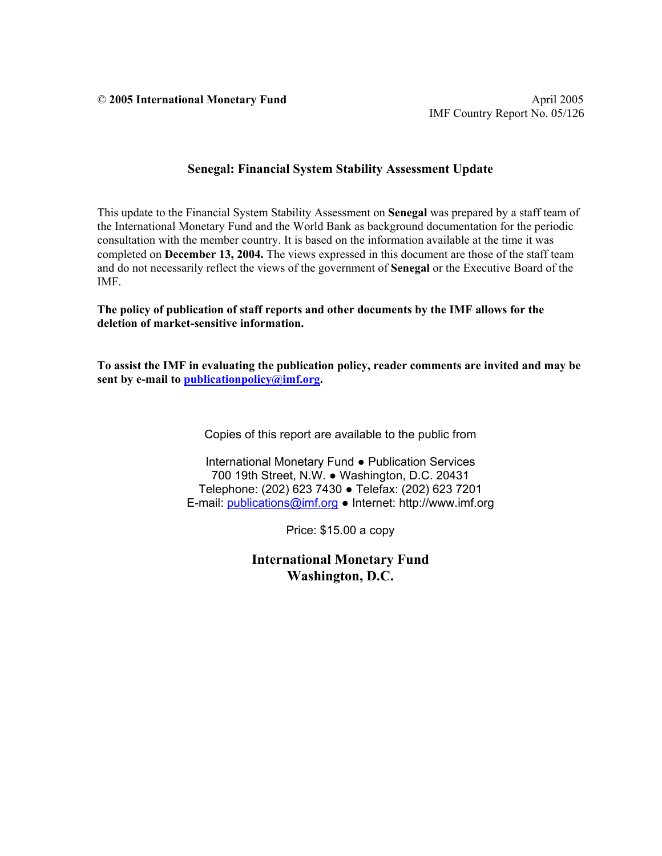© **2005 International Monetary Fund** April 2005

## **Senegal: Financial System Stability Assessment Update**

This update to the Financial System Stability Assessment on **Senegal** was prepared by a staff team of the International Monetary Fund and the World Bank as background documentation for the periodic consultation with the member country. It is based on the information available at the time it was completed on **December 13, 2004.** The views expressed in this document are those of the staff team and do not necessarily reflect the views of the government of **Senegal** or the Executive Board of the IMF.

#### **The policy of publication of staff reports and other documents by the IMF allows for the deletion of market-sensitive information.**

**To assist the IMF in evaluating the publication policy, reader comments are invited and may be sent by e-mail to publicationpolicy@imf.org.** 

Copies of this report are available to the public from

International Monetary Fund ● Publication Services 700 19th Street, N.W. ● Washington, D.C. 20431 Telephone: (202) 623 7430 ● Telefax: (202) 623 7201 E-mail: publications@imf.org ● Internet: http://www.imf.org

Price: \$15.00 a copy

**International Monetary Fund Washington, D.C.**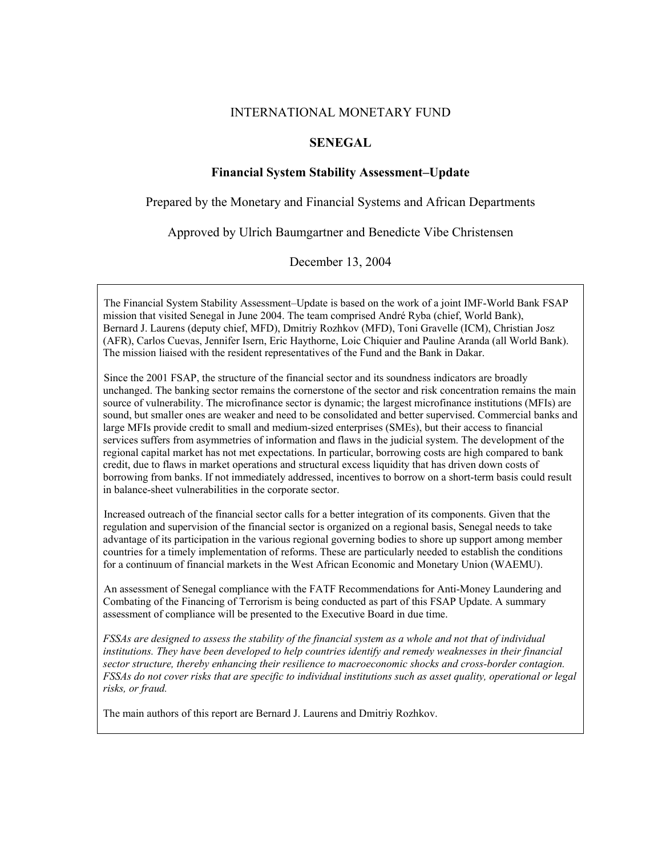#### INTERNATIONAL MONETARY FUND

### **SENEGAL**

### **Financial System Stability Assessment–Update**

Prepared by the Monetary and Financial Systems and African Departments

Approved by Ulrich Baumgartner and Benedicte Vibe Christensen

December 13, 2004

The Financial System Stability Assessment–Update is based on the work of a joint IMF-World Bank FSAP mission that visited Senegal in June 2004. The team comprised André Ryba (chief, World Bank), Bernard J. Laurens (deputy chief, MFD), Dmitriy Rozhkov (MFD), Toni Gravelle (ICM), Christian Josz (AFR), Carlos Cuevas, Jennifer Isern, Eric Haythorne, Loic Chiquier and Pauline Aranda (all World Bank). The mission liaised with the resident representatives of the Fund and the Bank in Dakar.

Since the 2001 FSAP, the structure of the financial sector and its soundness indicators are broadly unchanged. The banking sector remains the cornerstone of the sector and risk concentration remains the main source of vulnerability. The microfinance sector is dynamic; the largest microfinance institutions (MFIs) are sound, but smaller ones are weaker and need to be consolidated and better supervised. Commercial banks and large MFIs provide credit to small and medium-sized enterprises (SMEs), but their access to financial services suffers from asymmetries of information and flaws in the judicial system. The development of the regional capital market has not met expectations. In particular, borrowing costs are high compared to bank credit, due to flaws in market operations and structural excess liquidity that has driven down costs of borrowing from banks. If not immediately addressed, incentives to borrow on a short-term basis could result in balance-sheet vulnerabilities in the corporate sector.

Increased outreach of the financial sector calls for a better integration of its components. Given that the regulation and supervision of the financial sector is organized on a regional basis, Senegal needs to take advantage of its participation in the various regional governing bodies to shore up support among member countries for a timely implementation of reforms. These are particularly needed to establish the conditions for a continuum of financial markets in the West African Economic and Monetary Union (WAEMU).

An assessment of Senegal compliance with the FATF Recommendations for Anti-Money Laundering and Combating of the Financing of Terrorism is being conducted as part of this FSAP Update. A summary assessment of compliance will be presented to the Executive Board in due time.

*FSSAs are designed to assess the stability of the financial system as a whole and not that of individual institutions. They have been developed to help countries identify and remedy weaknesses in their financial sector structure, thereby enhancing their resilience to macroeconomic shocks and cross-border contagion. FSSAs do not cover risks that are specific to individual institutions such as asset quality, operational or legal risks, or fraud.*

The main authors of this report are Bernard J. Laurens and Dmitriy Rozhkov.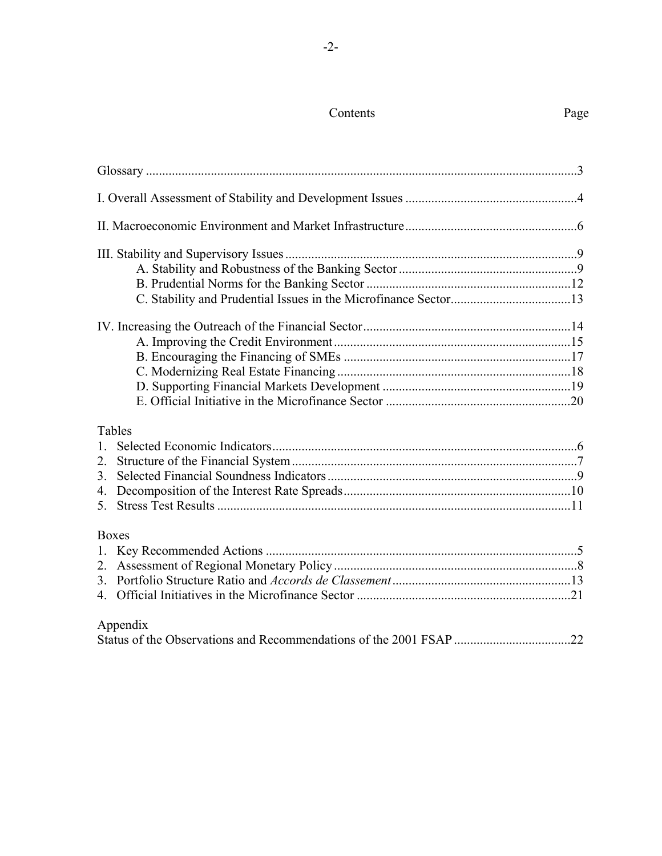# Contents Page

| Tables         |  |
|----------------|--|
| $1_{-}$        |  |
| 2.             |  |
| 3 <sub>1</sub> |  |
|                |  |
| 5.             |  |
| <b>Boxes</b>   |  |
|                |  |
|                |  |
|                |  |
|                |  |

# Appendix

|--|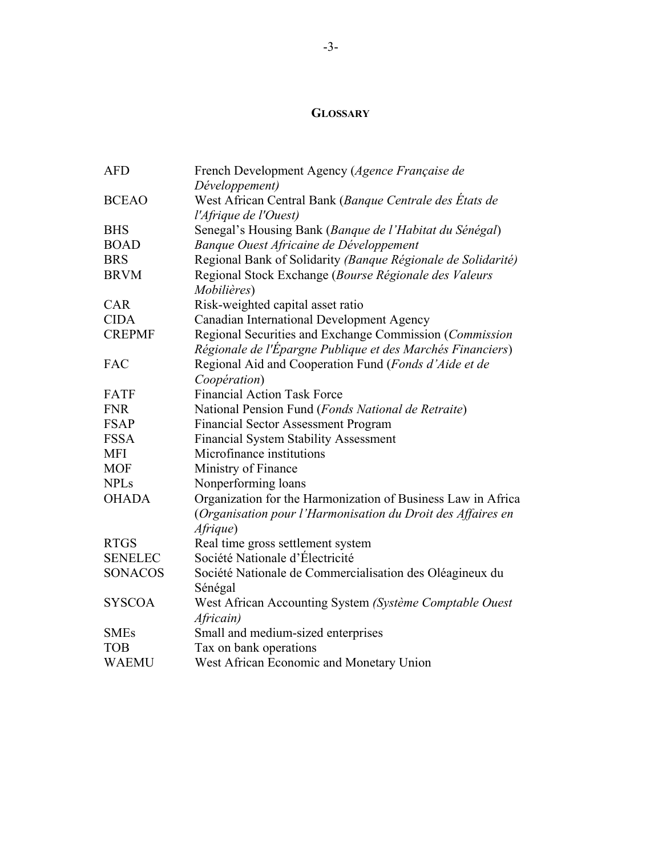# **GLOSSARY**

| <b>AFD</b>     | French Development Agency (Agence Française de               |
|----------------|--------------------------------------------------------------|
|                | Développement)                                               |
| <b>BCEAO</b>   | West African Central Bank (Banque Centrale des États de      |
|                | l'Afrique de l'Ouest)                                        |
| <b>BHS</b>     | Senegal's Housing Bank (Banque de l'Habitat du Sénégal)      |
| <b>BOAD</b>    | Banque Ouest Africaine de Développement                      |
| <b>BRS</b>     | Regional Bank of Solidarity (Banque Régionale de Solidarité) |
| <b>BRVM</b>    | Regional Stock Exchange (Bourse Régionale des Valeurs        |
|                | Mobilières)                                                  |
| CAR            | Risk-weighted capital asset ratio                            |
| <b>CIDA</b>    | <b>Canadian International Development Agency</b>             |
| <b>CREPMF</b>  | Regional Securities and Exchange Commission (Commission      |
|                | Régionale de l'Épargne Publique et des Marchés Financiers)   |
| FAC            | Regional Aid and Cooperation Fund (Fonds d'Aide et de        |
|                | Coopération)                                                 |
| FATF           | <b>Financial Action Task Force</b>                           |
| <b>FNR</b>     | National Pension Fund (Fonds National de Retraite)           |
| <b>FSAP</b>    | <b>Financial Sector Assessment Program</b>                   |
| <b>FSSA</b>    | <b>Financial System Stability Assessment</b>                 |
| <b>MFI</b>     | Microfinance institutions                                    |
| <b>MOF</b>     | Ministry of Finance                                          |
| <b>NPLs</b>    | Nonperforming loans                                          |
| <b>OHADA</b>   | Organization for the Harmonization of Business Law in Africa |
|                | (Organisation pour l'Harmonisation du Droit des Affaires en  |
|                | Afrique)                                                     |
| <b>RTGS</b>    | Real time gross settlement system                            |
| <b>SENELEC</b> | Société Nationale d'Électricité                              |
| <b>SONACOS</b> | Société Nationale de Commercialisation des Oléagineux du     |
|                | Sénégal                                                      |
| <b>SYSCOA</b>  | West African Accounting System (Système Comptable Ouest      |
|                | Africain)                                                    |
| <b>SMEs</b>    | Small and medium-sized enterprises                           |
| <b>TOB</b>     | Tax on bank operations                                       |
| <b>WAEMU</b>   | West African Economic and Monetary Union                     |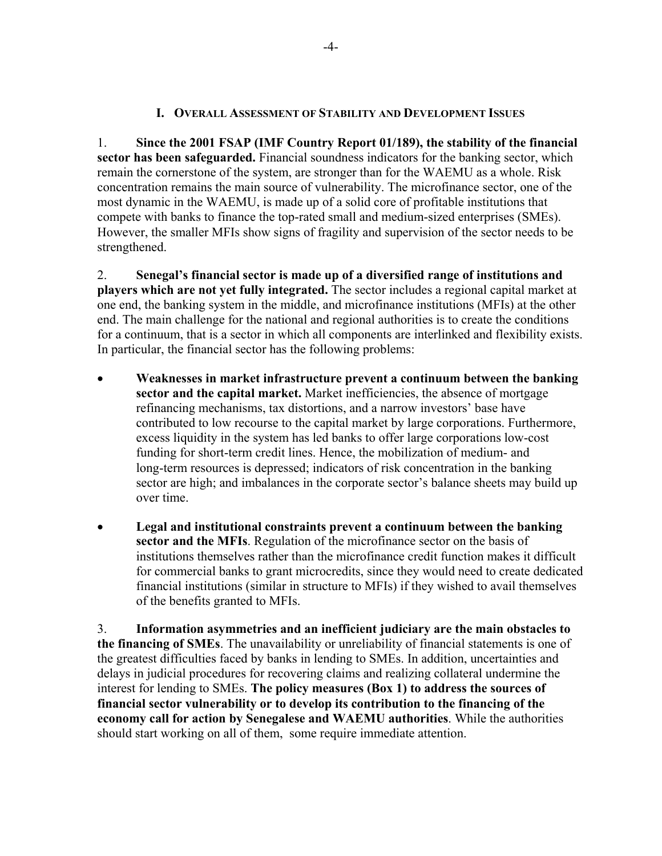## **I. OVERALL ASSESSMENT OF STABILITY AND DEVELOPMENT ISSUES**

1. **Since the 2001 FSAP (IMF Country Report 01/189), the stability of the financial sector has been safeguarded.** Financial soundness indicators for the banking sector, which remain the cornerstone of the system, are stronger than for the WAEMU as a whole. Risk concentration remains the main source of vulnerability. The microfinance sector, one of the most dynamic in the WAEMU, is made up of a solid core of profitable institutions that compete with banks to finance the top-rated small and medium-sized enterprises (SMEs). However, the smaller MFIs show signs of fragility and supervision of the sector needs to be strengthened.

2. **Senegal's financial sector is made up of a diversified range of institutions and players which are not yet fully integrated.** The sector includes a regional capital market at one end, the banking system in the middle, and microfinance institutions (MFIs) at the other end. The main challenge for the national and regional authorities is to create the conditions for a continuum, that is a sector in which all components are interlinked and flexibility exists. In particular, the financial sector has the following problems:

- **Weaknesses in market infrastructure prevent a continuum between the banking sector and the capital market.** Market inefficiencies, the absence of mortgage refinancing mechanisms, tax distortions, and a narrow investors' base have contributed to low recourse to the capital market by large corporations. Furthermore, excess liquidity in the system has led banks to offer large corporations low-cost funding for short-term credit lines. Hence, the mobilization of medium- and long-term resources is depressed; indicators of risk concentration in the banking sector are high; and imbalances in the corporate sector's balance sheets may build up over time.
- **Legal and institutional constraints prevent a continuum between the banking sector and the MFIs**. Regulation of the microfinance sector on the basis of institutions themselves rather than the microfinance credit function makes it difficult for commercial banks to grant microcredits, since they would need to create dedicated financial institutions (similar in structure to MFIs) if they wished to avail themselves of the benefits granted to MFIs.

3. **Information asymmetries and an inefficient judiciary are the main obstacles to the financing of SMEs**. The unavailability or unreliability of financial statements is one of the greatest difficulties faced by banks in lending to SMEs. In addition, uncertainties and delays in judicial procedures for recovering claims and realizing collateral undermine the interest for lending to SMEs. **The policy measures (Box 1) to address the sources of financial sector vulnerability or to develop its contribution to the financing of the economy call for action by Senegalese and WAEMU authorities**. While the authorities should start working on all of them, some require immediate attention.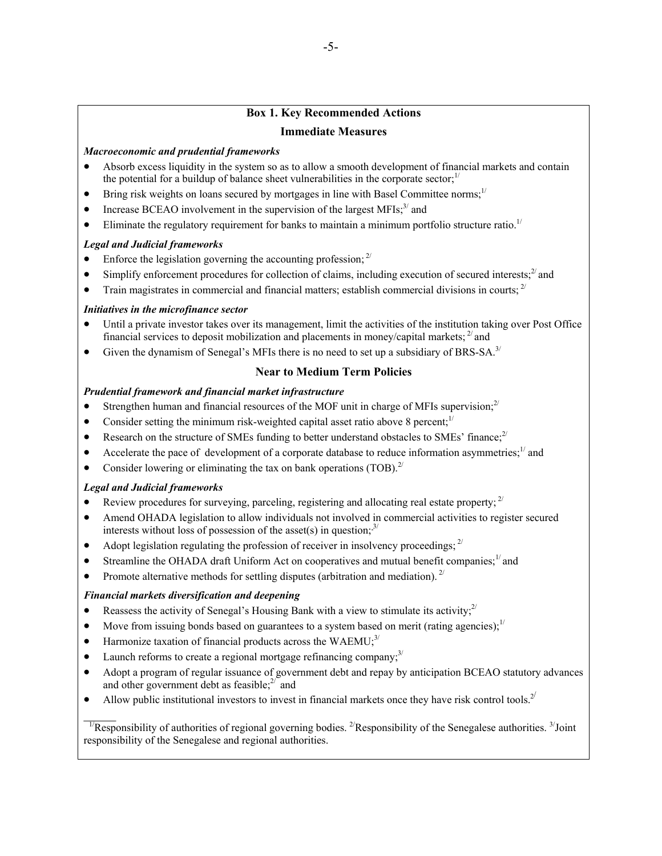## **Box 1. Key Recommended Actions Immediate Measures**

#### *Macroeconomic and prudential frameworks*

- Absorb excess liquidity in the system so as to allow a smooth development of financial markets and contain the potential for a buildup of balance sheet vulnerabilities in the corporate sector; $\frac{1}{1}$
- Bring risk weights on loans secured by mortgages in line with Basel Committee norms;<sup>1/</sup>
- Increase BCEAO involvement in the supervision of the largest  $MFIs<sub>i</sub><sup>3</sup>$  and
- Eliminate the regulatory requirement for banks to maintain a minimum portfolio structure ratio.<sup>1/</sup>

#### *Legal and Judicial frameworks*

- Enforce the legislation governing the accounting profession;  $2^{7}$
- Simplify enforcement procedures for collection of claims, including execution of secured interests; $^{2}$  and
- Train magistrates in commercial and financial matters; establish commercial divisions in courts;  $2^{7}$

#### *Initiatives in the microfinance sector*

- Until a private investor takes over its management, limit the activities of the institution taking over Post Office financial services to deposit mobilization and placements in money/capital markets;  $^{27}$  and
- Given the dynamism of Senegal's MFIs there is no need to set up a subsidiary of BRS-SA.<sup>3/</sup>

## **Near to Medium Term Policies**

#### *Prudential framework and financial market infrastructure*

- Strengthen human and financial resources of the MOF unit in charge of MFIs supervision;<sup>2/</sup>
- Consider setting the minimum risk-weighted capital asset ratio above 8 percent; $\frac{1}{1}$
- Research on the structure of SMEs funding to better understand obstacles to SMEs' finance;<sup>2/</sup>
- Accelerate the pace of development of a corporate database to reduce information asymmetries;<sup>1/</sup> and
- Consider lowering or eliminating the tax on bank operations  $(TOB)^{2}$ .

## *Legal and Judicial frameworks*

- Review procedures for surveying, parceling, registering and allocating real estate property;  $^{2}$
- Amend OHADA legislation to allow individuals not involved in commercial activities to register secured interests without loss of possession of the asset(s) in question;  $3^{7}$
- Adopt legislation regulating the profession of receiver in insolvency proceedings;  $2^{7}$
- Streamline the OHADA draft Uniform Act on cooperatives and mutual benefit companies;<sup>1/</sup> and
- Promote alternative methods for settling disputes (arbitration and mediation).  $2^{7}$

#### *Financial markets diversification and deepening*

- Reassess the activity of Senegal's Housing Bank with a view to stimulate its activity; $^{2}$
- Move from issuing bonds based on guarantees to a system based on merit (rating agencies);<sup>1/</sup>
- Harmonize taxation of financial products across the WAEMU; $^{3/2}$
- Launch reforms to create a regional mortgage refinancing company; $3^{1/2}$
- Adopt a program of regular issuance of government debt and repay by anticipation BCEAO statutory advances and other government debt as feasible; $2^{2}$  and
- Allow public institutional investors to invest in financial markets once they have risk control tools.<sup>2/</sup>

 $\mathcal{L}$ <sup>1/</sup>Responsibility of authorities of regional governing bodies. <sup>2/</sup>Responsibility of the Senegalese authorities. <sup>3/</sup>Joint responsibility of the Senegalese and regional authorities.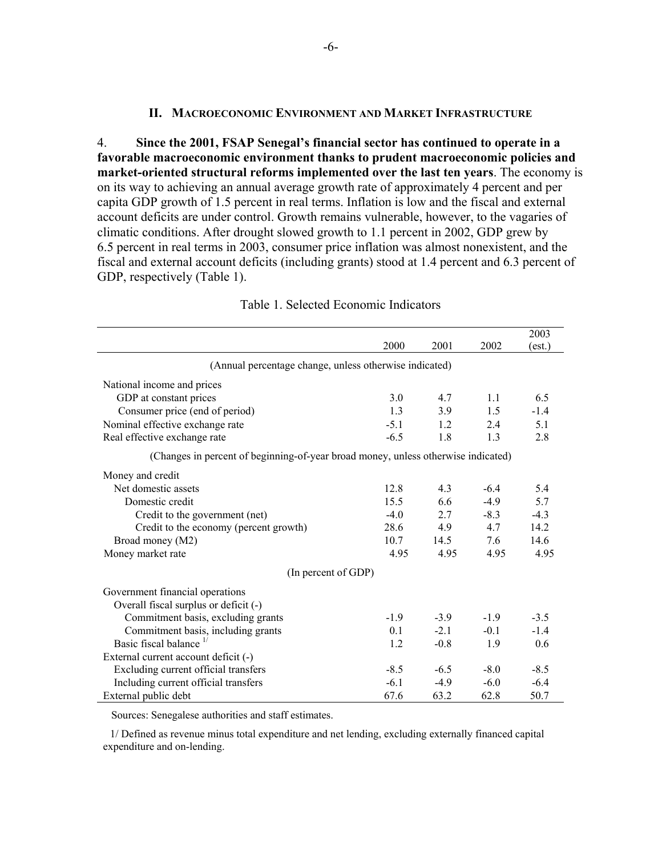#### **II. MACROECONOMIC ENVIRONMENT AND MARKET INFRASTRUCTURE**

4. **Since the 2001, FSAP Senegal's financial sector has continued to operate in a favorable macroeconomic environment thanks to prudent macroeconomic policies and market-oriented structural reforms implemented over the last ten years**. The economy is on its way to achieving an annual average growth rate of approximately 4 percent and per capita GDP growth of 1.5 percent in real terms. Inflation is low and the fiscal and external account deficits are under control. Growth remains vulnerable, however, to the vagaries of climatic conditions. After drought slowed growth to 1.1 percent in 2002, GDP grew by 6.5 percent in real terms in 2003, consumer price inflation was almost nonexistent, and the fiscal and external account deficits (including grants) stood at 1.4 percent and 6.3 percent of GDP, respectively (Table 1).

|                                                                                   |        |        |        | 2003   |
|-----------------------------------------------------------------------------------|--------|--------|--------|--------|
|                                                                                   | 2000   | 2001   | 2002   | (est.) |
| (Annual percentage change, unless otherwise indicated)                            |        |        |        |        |
| National income and prices                                                        |        |        |        |        |
| GDP at constant prices                                                            | 3.0    | 4.7    | 1.1    | 6.5    |
| Consumer price (end of period)                                                    | 1.3    | 3.9    | 1.5    | $-1.4$ |
| Nominal effective exchange rate                                                   | $-5.1$ | 1.2    | 2.4    | 5.1    |
| Real effective exchange rate                                                      | $-6.5$ | 1.8    | 1.3    | 2.8    |
| (Changes in percent of beginning-of-year broad money, unless otherwise indicated) |        |        |        |        |
| Money and credit                                                                  |        |        |        |        |
| Net domestic assets                                                               | 12.8   | 4.3    | $-6.4$ | 5.4    |
| Domestic credit                                                                   | 15.5   | 6.6    | $-4.9$ | 5.7    |
| Credit to the government (net)                                                    | $-4.0$ | 2.7    | $-8.3$ | $-4.3$ |
| Credit to the economy (percent growth)                                            | 28.6   | 4.9    | 4.7    | 14.2   |
| Broad money (M2)                                                                  | 10.7   | 14.5   | 7.6    | 14.6   |
| Money market rate                                                                 | 4.95   | 4.95   | 4.95   | 4.95   |
| (In percent of GDP)                                                               |        |        |        |        |
| Government financial operations                                                   |        |        |        |        |
| Overall fiscal surplus or deficit (-)                                             |        |        |        |        |
| Commitment basis, excluding grants                                                | $-1.9$ | $-3.9$ | $-1.9$ | $-3.5$ |
| Commitment basis, including grants                                                | 0.1    | $-21$  | $-0.1$ | $-1.4$ |
| Basic fiscal balance $\frac{1}{2}$                                                | 1.2    | $-0.8$ | 1.9    | 0.6    |
| External current account deficit (-)                                              |        |        |        |        |
| Excluding current official transfers                                              | $-8.5$ | $-6.5$ | $-8.0$ | $-8.5$ |
| Including current official transfers                                              | $-6.1$ | $-4.9$ | $-6.0$ | $-6.4$ |
| External public debt                                                              | 67.6   | 63.2   | 62.8   | 50.7   |

#### Table 1. Selected Economic Indicators

Sources: Senegalese authorities and staff estimates.

 1/ Defined as revenue minus total expenditure and net lending, excluding externally financed capital expenditure and on-lending.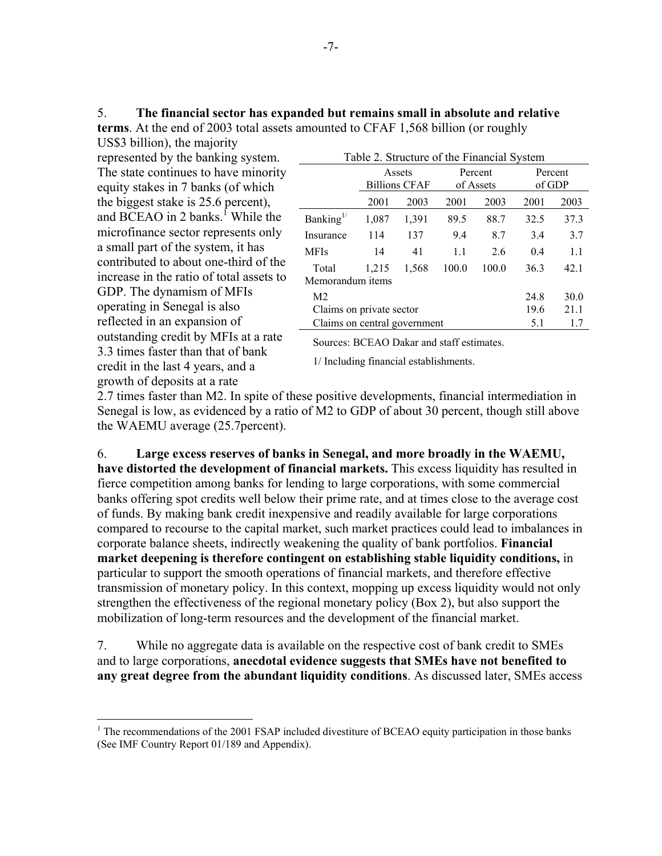5. **The financial sector has expanded but remains small in absolute and relative terms**. At the end of 2003 total assets amounted to CFAF 1,568 billion (or roughly

US\$3 billion), the majority represented by the banking system. The state continues to have minority equity stakes in 7 banks (of which the biggest stake is 25.6 percent), and BCEAO in 2 banks.<sup>1</sup> While the microfinance sector represents only a small part of the system, it has contributed to about one-third of the increase in the ratio of total assets to GDP. The dynamism of MFIs operating in Senegal is also reflected in an expansion of outstanding credit by MFIs at a rate 3.3 times faster than that of bank credit in the last 4 years, and a growth of deposits at a rate

 $\overline{a}$ 

| Table 2. Structure of the Financial System |                                |       |                      |       |                   |      |
|--------------------------------------------|--------------------------------|-------|----------------------|-------|-------------------|------|
|                                            | Assets<br><b>Billions CFAF</b> |       | Percent<br>of Assets |       | Percent<br>of GDP |      |
|                                            | 2001                           | 2003  | 2001                 | 2003  | 2001              | 2003 |
| Banking $^{1/}$                            | 1,087                          | 1,391 | 89.5                 | 88.7  | 32.5              | 37.3 |
| Insurance                                  | 114                            | 137   | 9.4                  | 8.7   | 3.4               | 3.7  |
| MFIs                                       | 14                             | 41    | 1.1                  | 2.6   | 0.4               | 1.1  |
| Total<br>Memorandum items                  | 1,215                          | 1,568 | 100.0                | 100.0 | 36.3              | 42.1 |
| M <sub>2</sub>                             |                                |       |                      |       | 24.8              | 30.0 |
| 19.6<br>Claims on private sector           |                                |       |                      |       | 21.1              |      |
| Claims on central government<br>5.1<br>1.7 |                                |       |                      |       |                   |      |

Sources: BCEAO Dakar and staff estimates.

1/ Including financial establishments.

2.7 times faster than M2. In spite of these positive developments, financial intermediation in Senegal is low, as evidenced by a ratio of M2 to GDP of about 30 percent, though still above the WAEMU average (25.7percent).

6. **Large excess reserves of banks in Senegal, and more broadly in the WAEMU, have distorted the development of financial markets.** This excess liquidity has resulted in fierce competition among banks for lending to large corporations, with some commercial banks offering spot credits well below their prime rate, and at times close to the average cost of funds. By making bank credit inexpensive and readily available for large corporations compared to recourse to the capital market, such market practices could lead to imbalances in corporate balance sheets, indirectly weakening the quality of bank portfolios. **Financial market deepening is therefore contingent on establishing stable liquidity conditions,** in particular to support the smooth operations of financial markets, and therefore effective transmission of monetary policy. In this context, mopping up excess liquidity would not only strengthen the effectiveness of the regional monetary policy (Box 2), but also support the mobilization of long-term resources and the development of the financial market.

7. While no aggregate data is available on the respective cost of bank credit to SMEs and to large corporations, **anecdotal evidence suggests that SMEs have not benefited to any great degree from the abundant liquidity conditions**. As discussed later, SMEs access

 $1$ <sup>1</sup> The recommendations of the 2001 FSAP included divestiture of BCEAO equity participation in those banks (See IMF Country Report 01/189 and Appendix).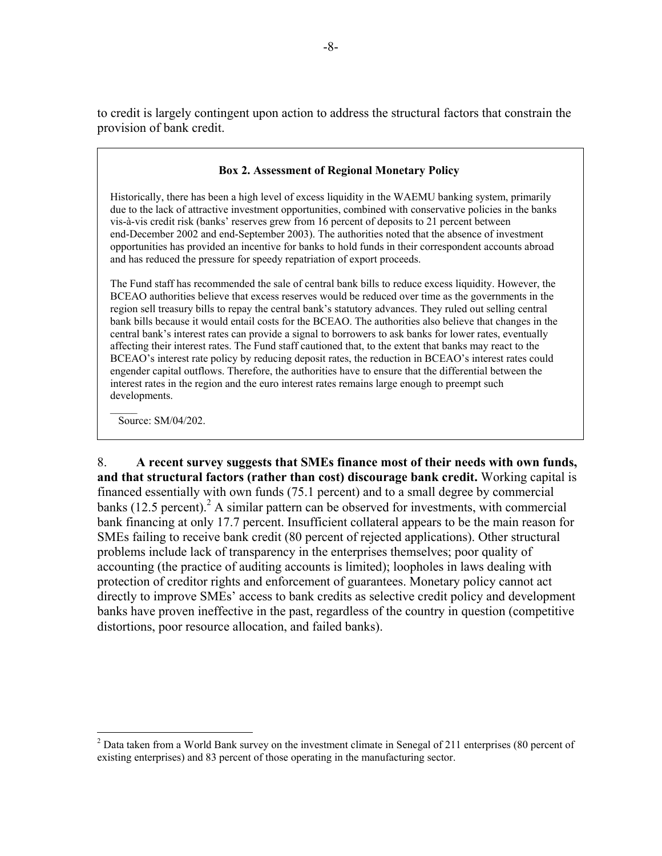to credit is largely contingent upon action to address the structural factors that constrain the provision of bank credit.

### **Box 2. Assessment of Regional Monetary Policy**

Historically, there has been a high level of excess liquidity in the WAEMU banking system, primarily due to the lack of attractive investment opportunities, combined with conservative policies in the banks vis-à-vis credit risk (banks' reserves grew from 16 percent of deposits to 21 percent between end-December 2002 and end-September 2003). The authorities noted that the absence of investment opportunities has provided an incentive for banks to hold funds in their correspondent accounts abroad and has reduced the pressure for speedy repatriation of export proceeds.

The Fund staff has recommended the sale of central bank bills to reduce excess liquidity. However, the BCEAO authorities believe that excess reserves would be reduced over time as the governments in the region sell treasury bills to repay the central bank's statutory advances. They ruled out selling central bank bills because it would entail costs for the BCEAO. The authorities also believe that changes in the central bank's interest rates can provide a signal to borrowers to ask banks for lower rates, eventually affecting their interest rates. The Fund staff cautioned that, to the extent that banks may react to the BCEAO's interest rate policy by reducing deposit rates, the reduction in BCEAO's interest rates could engender capital outflows. Therefore, the authorities have to ensure that the differential between the interest rates in the region and the euro interest rates remains large enough to preempt such developments.

 $\mathcal{L}$ Source: SM/04/202.

 $\overline{a}$ 

8. **A recent survey suggests that SMEs finance most of their needs with own funds, and that structural factors (rather than cost) discourage bank credit.** Working capital is financed essentially with own funds (75.1 percent) and to a small degree by commercial banks  $(12.5 \text{ percent})$ . A similar pattern can be observed for investments, with commercial bank financing at only 17.7 percent. Insufficient collateral appears to be the main reason for SMEs failing to receive bank credit (80 percent of rejected applications). Other structural problems include lack of transparency in the enterprises themselves; poor quality of accounting (the practice of auditing accounts is limited); loopholes in laws dealing with protection of creditor rights and enforcement of guarantees. Monetary policy cannot act directly to improve SMEs' access to bank credits as selective credit policy and development banks have proven ineffective in the past, regardless of the country in question (competitive distortions, poor resource allocation, and failed banks).

 $2^{2}$  Data taken from a World Bank survey on the investment climate in Senegal of 211 enterprises (80 percent of existing enterprises) and 83 percent of those operating in the manufacturing sector.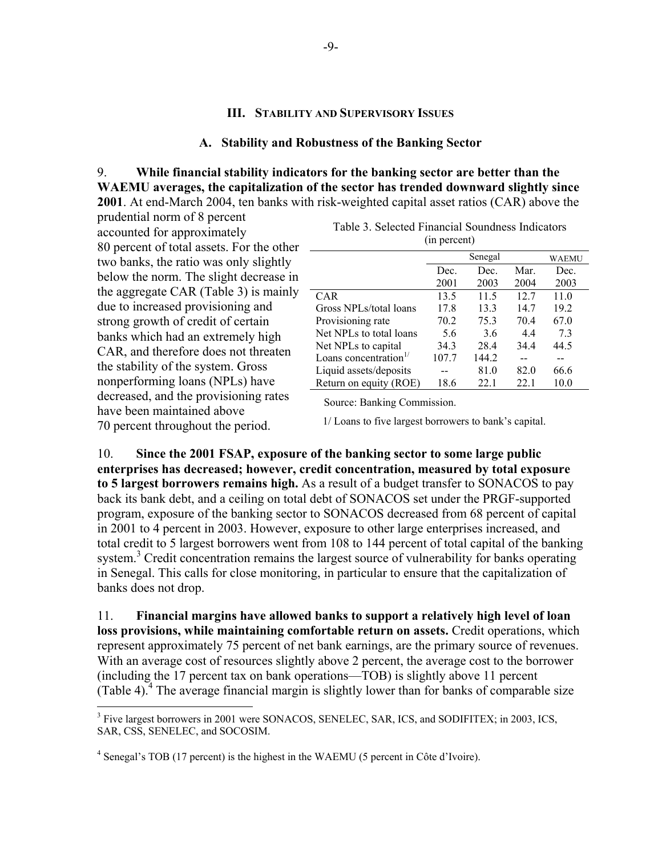### **III. STABILITY AND SUPERVISORY ISSUES**

#### **A. Stability and Robustness of the Banking Sector**

9. **While financial stability indicators for the banking sector are better than the WAEMU averages, the capitalization of the sector has trended downward slightly since 2001**. At end-March 2004, ten banks with risk-weighted capital asset ratios (CAR) above the

prudential norm of 8 percent accounted for approximately 80 percent of total assets. For the other two banks, the ratio was only slightly below the norm. The slight decrease in the aggregate CAR (Table 3) is mainly due to increased provisioning and strong growth of credit of certain banks which had an extremely high CAR, and therefore does not threaten the stability of the system. Gross nonperforming loans (NPLs) have decreased, and the provisioning rates have been maintained above 70 percent throughout the period.

 $\overline{a}$ 

|                                   |       | Senegal |      | WAEMU |
|-----------------------------------|-------|---------|------|-------|
|                                   | Dec.  | Dec.    | Mar. | Dec.  |
|                                   | 2001  | 2003    | 2004 | 2003  |
| <b>CAR</b>                        | 13.5  | 11.5    | 127  | 11.0  |
| Gross NPLs/total loans            | 17.8  | 13.3    | 14.7 | 19.2  |
| Provisioning rate                 | 70.2  | 75.3    | 70.4 | 67.0  |
| Net NPLs to total loans           | 5.6   | 3.6     | 4.4  | 73    |
| Net NPLs to capital               | 34.3  | 28.4    | 344  | 44.5  |
| Loans concentration <sup>1/</sup> | 107.7 | 144.2   |      |       |
| Liquid assets/deposits            |       | 81.0    | 82.0 | 66.6  |
| Return on equity (ROE)            | 18.6  | 22.1    | 22.1 | 10.0  |

| Table 3. Selected Financial Soundness Indicators |  |
|--------------------------------------------------|--|
| (in percent)                                     |  |

Source: Banking Commission.

1/ Loans to five largest borrowers to bank's capital.

10. **Since the 2001 FSAP, exposure of the banking sector to some large public enterprises has decreased; however, credit concentration, measured by total exposure to 5 largest borrowers remains high.** As a result of a budget transfer to SONACOS to pay back its bank debt, and a ceiling on total debt of SONACOS set under the PRGF-supported program, exposure of the banking sector to SONACOS decreased from 68 percent of capital in 2001 to 4 percent in 2003. However, exposure to other large enterprises increased, and total credit to 5 largest borrowers went from 108 to 144 percent of total capital of the banking system.<sup>3</sup> Credit concentration remains the largest source of vulnerability for banks operating in Senegal. This calls for close monitoring, in particular to ensure that the capitalization of banks does not drop.

11. **Financial margins have allowed banks to support a relatively high level of loan loss provisions, while maintaining comfortable return on assets.** Credit operations, which represent approximately 75 percent of net bank earnings, are the primary source of revenues. With an average cost of resources slightly above 2 percent, the average cost to the borrower (including the 17 percent tax on bank operations—TOB) is slightly above 11 percent (Table 4). $4$  The average financial margin is slightly lower than for banks of comparable size

<sup>&</sup>lt;sup>3</sup> Five largest borrowers in 2001 were SONACOS, SENELEC, SAR, ICS, and SODIFITEX; in 2003, ICS, SAR, CSS, SENELEC, and SOCOSIM.

<sup>&</sup>lt;sup>4</sup> Senegal's TOB (17 percent) is the highest in the WAEMU (5 percent in Côte d'Ivoire).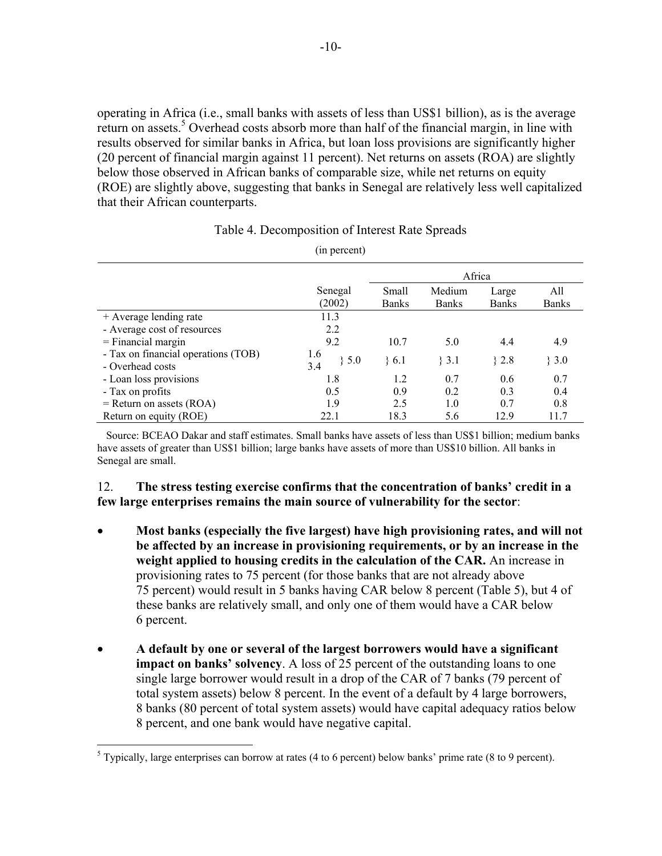operating in Africa (i.e., small banks with assets of less than US\$1 billion), as is the average return on assets.<sup>5</sup> Overhead costs absorb more than half of the financial margin, in line with results observed for similar banks in Africa, but loan loss provisions are significantly higher (20 percent of financial margin against 11 percent). Net returns on assets (ROA) are slightly below those observed in African banks of comparable size, while net returns on equity (ROE) are slightly above, suggesting that banks in Senegal are relatively less well capitalized that their African counterparts.

# Table 4. Decomposition of Interest Rate Spreads (in percent)

Africa Senegal (2002) Small Banks Medium Banks Large Banks All Banks + Average lending rate 11.3 - Average cost of resources 2.2<br>= Financial margin 9.2  $=$  Financial margin  $9.2$   $10.7$   $5.0$   $4.4$   $4.9$ - Tax on financial operations (TOB) - Overhead costs 1.6  $\begin{array}{c} 1.0 \\ 3.4 \end{array}$  } 5.0 } 6.1 } 3.1 } 2.8 } 3.0 - Loan loss provisions 1.8 1.2 0.7 0.6 0.7 - Tax on profits 0.5 0.9 0.2 0.3 0.4  $=$  Return on assets (ROA)  $1.9$   $2.5$   $1.0$   $0.7$   $0.8$ Return on equity (ROE) 22.1 18.3 5.6 12.9 11.7

 Source: BCEAO Dakar and staff estimates. Small banks have assets of less than US\$1 billion; medium banks have assets of greater than US\$1 billion; large banks have assets of more than US\$10 billion. All banks in Senegal are small.

## 12. **The stress testing exercise confirms that the concentration of banks' credit in a few large enterprises remains the main source of vulnerability for the sector**:

- **Most banks (especially the five largest) have high provisioning rates, and will not be affected by an increase in provisioning requirements, or by an increase in the weight applied to housing credits in the calculation of the CAR.** An increase in provisioning rates to 75 percent (for those banks that are not already above 75 percent) would result in 5 banks having CAR below 8 percent (Table 5), but 4 of these banks are relatively small, and only one of them would have a CAR below 6 percent.
- **A default by one or several of the largest borrowers would have a significant impact on banks' solvency**. A loss of 25 percent of the outstanding loans to one single large borrower would result in a drop of the CAR of 7 banks (79 percent of total system assets) below 8 percent. In the event of a default by 4 large borrowers, 8 banks (80 percent of total system assets) would have capital adequacy ratios below 8 percent, and one bank would have negative capital.

 5 Typically, large enterprises can borrow at rates (4 to 6 percent) below banks' prime rate (8 to 9 percent).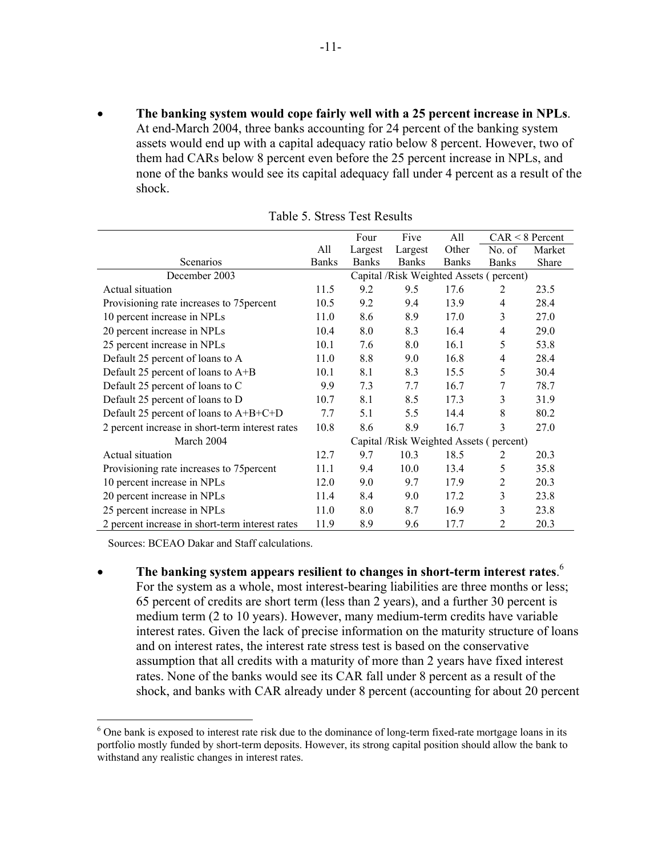• **The banking system would cope fairly well with a 25 percent increase in NPLs**. At end-March 2004, three banks accounting for 24 percent of the banking system assets would end up with a capital adequacy ratio below 8 percent. However, two of them had CARs below 8 percent even before the 25 percent increase in NPLs, and none of the banks would see its capital adequacy fall under 4 percent as a result of the shock.

|                                                 |              | Four                                    | Five                                    | All          |                | $CAR < 8$ Percent |
|-------------------------------------------------|--------------|-----------------------------------------|-----------------------------------------|--------------|----------------|-------------------|
|                                                 | All          | Largest                                 | Largest                                 | Other        | No. of         | Market            |
| Scenarios                                       | <b>Banks</b> | <b>Banks</b>                            | <b>Banks</b>                            | <b>Banks</b> | <b>Banks</b>   | Share             |
| December 2003                                   |              |                                         | Capital /Risk Weighted Assets (percent) |              |                |                   |
| Actual situation                                | 11.5         | 9.2                                     | 9.5                                     | 17.6         | 2              | 23.5              |
| Provisioning rate increases to 75 percent       | 10.5         | 9.2                                     | 9.4                                     | 13.9         | $\overline{4}$ | 28.4              |
| 10 percent increase in NPLs                     | 11.0         | 8.6                                     | 8.9                                     | 17.0         | 3              | 27.0              |
| 20 percent increase in NPLs                     | 10.4         | 8.0                                     | 8.3                                     | 16.4         | $\overline{4}$ | 29.0              |
| 25 percent increase in NPLs                     | 10.1         | 7.6                                     | 8.0                                     | 16.1         | 5              | 53.8              |
| Default 25 percent of loans to A                | 11.0         | 8.8                                     | 9.0                                     | 16.8         | $\overline{4}$ | 28.4              |
| Default 25 percent of loans to A+B              | 10.1         | 8.1                                     | 8.3                                     | 15.5         | 5              | 30.4              |
| Default 25 percent of loans to C                | 9.9          | 7.3                                     | 7.7                                     | 16.7         | 7              | 78.7              |
| Default 25 percent of loans to D                | 10.7         | 8.1                                     | 8.5                                     | 17.3         | 3              | 31.9              |
| Default 25 percent of loans to A+B+C+D          | 7.7          | 5.1                                     | 5.5                                     | 14.4         | 8              | 80.2              |
| 2 percent increase in short-term interest rates | 10.8         | 8.6                                     | 8.9                                     | 16.7         | 3              | 27.0              |
| March 2004                                      |              | Capital /Risk Weighted Assets (percent) |                                         |              |                |                   |
| Actual situation                                | 12.7         | 9.7                                     | 10.3                                    | 18.5         | 2              | 20.3              |
| Provisioning rate increases to 75 percent       | 11.1         | 9.4                                     | 10.0                                    | 13.4         | 5              | 35.8              |
| 10 percent increase in NPLs                     | 12.0         | 9.0                                     | 9.7                                     | 17.9         | 2              | 20.3              |
| 20 percent increase in NPLs                     | 11.4         | 8.4                                     | 9.0                                     | 17.2         | 3              | 23.8              |
| 25 percent increase in NPLs                     | 11.0         | 8.0                                     | 8.7                                     | 16.9         | 3              | 23.8              |
| 2 percent increase in short-term interest rates | 11.9         | 8.9                                     | 9.6                                     | 17.7         | 2              | 20.3              |

| Table 5. Stress Test Results |  |
|------------------------------|--|
|------------------------------|--|

Sources: BCEAO Dakar and Staff calculations.

<u>.</u>

• **The banking system appears resilient to changes in short-term interest rates**. 6 For the system as a whole, most interest-bearing liabilities are three months or less; 65 percent of credits are short term (less than 2 years), and a further 30 percent is medium term (2 to 10 years). However, many medium-term credits have variable interest rates. Given the lack of precise information on the maturity structure of loans and on interest rates, the interest rate stress test is based on the conservative assumption that all credits with a maturity of more than 2 years have fixed interest rates. None of the banks would see its CAR fall under 8 percent as a result of the shock, and banks with CAR already under 8 percent (accounting for about 20 percent

<sup>&</sup>lt;sup>6</sup> One bank is exposed to interest rate risk due to the dominance of long-term fixed-rate mortgage loans in its portfolio mostly funded by short-term deposits. However, its strong capital position should allow the bank to withstand any realistic changes in interest rates.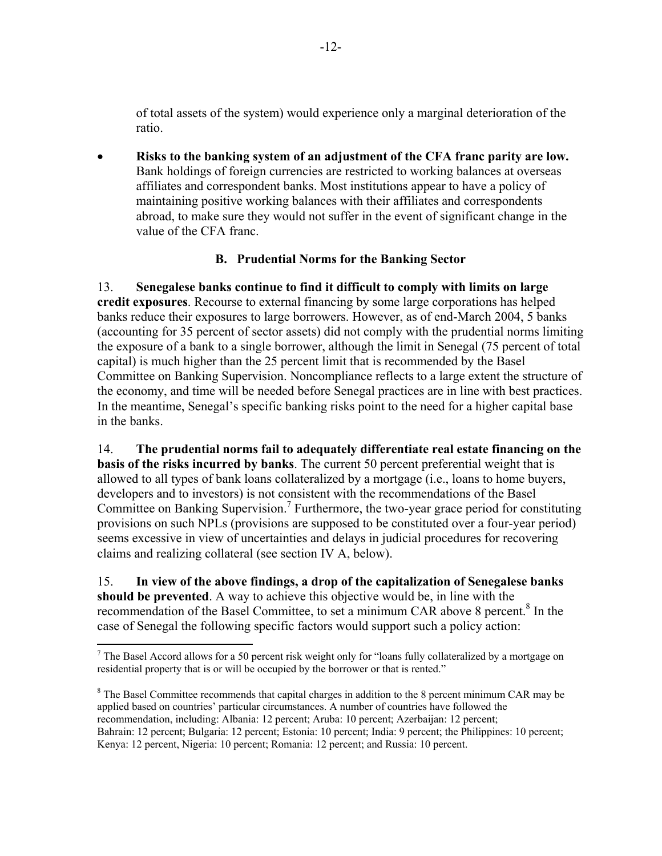of total assets of the system) would experience only a marginal deterioration of the ratio.

• **Risks to the banking system of an adjustment of the CFA franc parity are low.**  Bank holdings of foreign currencies are restricted to working balances at overseas affiliates and correspondent banks. Most institutions appear to have a policy of maintaining positive working balances with their affiliates and correspondents abroad, to make sure they would not suffer in the event of significant change in the value of the CFA franc.

# **B. Prudential Norms for the Banking Sector**

13. **Senegalese banks continue to find it difficult to comply with limits on large credit exposures**. Recourse to external financing by some large corporations has helped banks reduce their exposures to large borrowers. However, as of end-March 2004, 5 banks (accounting for 35 percent of sector assets) did not comply with the prudential norms limiting the exposure of a bank to a single borrower, although the limit in Senegal (75 percent of total capital) is much higher than the 25 percent limit that is recommended by the Basel Committee on Banking Supervision. Noncompliance reflects to a large extent the structure of the economy, and time will be needed before Senegal practices are in line with best practices. In the meantime, Senegal's specific banking risks point to the need for a higher capital base in the banks.

14. **The prudential norms fail to adequately differentiate real estate financing on the basis of the risks incurred by banks**. The current 50 percent preferential weight that is allowed to all types of bank loans collateralized by a mortgage (i.e., loans to home buyers, developers and to investors) is not consistent with the recommendations of the Basel Committee on Banking Supervision.<sup>7</sup> Furthermore, the two-year grace period for constituting provisions on such NPLs (provisions are supposed to be constituted over a four-year period) seems excessive in view of uncertainties and delays in judicial procedures for recovering claims and realizing collateral (see section IV A, below).

15. **In view of the above findings, a drop of the capitalization of Senegalese banks should be prevented**. A way to achieve this objective would be, in line with the recommendation of the Basel Committee, to set a minimum CAR above 8 percent.<sup>8</sup> In the case of Senegal the following specific factors would support such a policy action:

<sup>&</sup>lt;sup>7</sup> The Basel Accord allows for a 50 percent risk weight only for "loans fully collateralized by a mortgage on residential property that is or will be occupied by the borrower or that is rented."

<sup>&</sup>lt;sup>8</sup> The Basel Committee recommends that capital charges in addition to the 8 percent minimum CAR may be applied based on countries' particular circumstances. A number of countries have followed the recommendation, including: Albania: 12 percent; Aruba: 10 percent; Azerbaijan: 12 percent; Bahrain: 12 percent; Bulgaria: 12 percent; Estonia: 10 percent; India: 9 percent; the Philippines: 10 percent; Kenya: 12 percent, Nigeria: 10 percent; Romania: 12 percent; and Russia: 10 percent.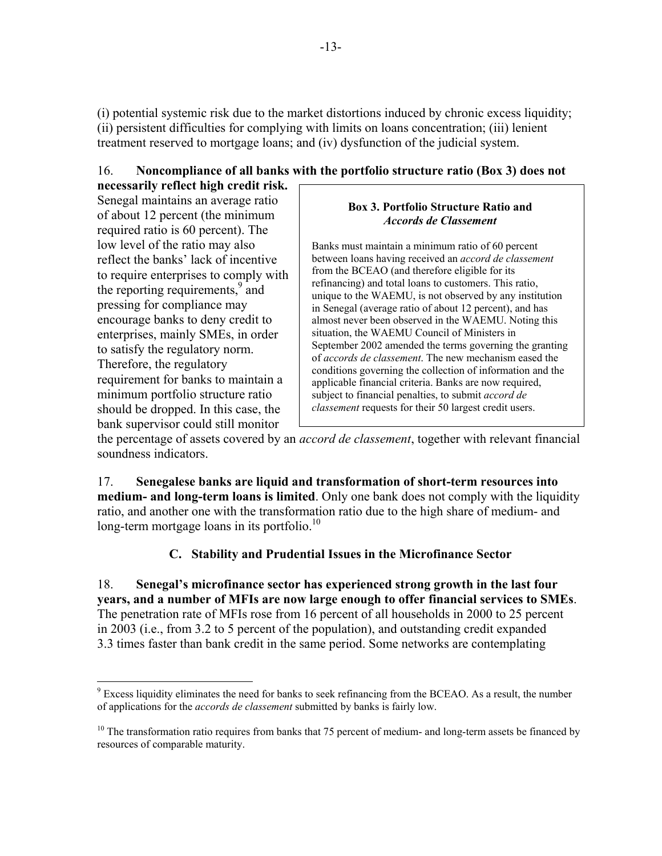(i) potential systemic risk due to the market distortions induced by chronic excess liquidity; (ii) persistent difficulties for complying with limits on loans concentration; (iii) lenient treatment reserved to mortgage loans; and (iv) dysfunction of the judicial system.

# 16. **Noncompliance of all banks with the portfolio structure ratio (Box 3) does not**

**necessarily reflect high credit risk.** Senegal maintains an average ratio of about 12 percent (the minimum required ratio is 60 percent). The low level of the ratio may also reflect the banks' lack of incentive to require enterprises to comply with the reporting requirements,<sup>9</sup> and pressing for compliance may encourage banks to deny credit to enterprises, mainly SMEs, in order to satisfy the regulatory norm. Therefore, the regulatory requirement for banks to maintain a minimum portfolio structure ratio should be dropped. In this case, the bank supervisor could still monitor

#### **Box 3. Portfolio Structure Ratio and**  *Accords de Classement*

Banks must maintain a minimum ratio of 60 percent between loans having received an *accord de classement*  from the BCEAO (and therefore eligible for its refinancing) and total loans to customers. This ratio, unique to the WAEMU, is not observed by any institution in Senegal (average ratio of about 12 percent), and has almost never been observed in the WAEMU. Noting this situation, the WAEMU Council of Ministers in September 2002 amended the terms governing the granting of *accords de classement*. The new mechanism eased the conditions governing the collection of information and the applicable financial criteria. Banks are now required, subject to financial penalties, to submit *accord de classement* requests for their 50 largest credit users.

the percentage of assets covered by an *accord de classement*, together with relevant financial soundness indicators.

17. **Senegalese banks are liquid and transformation of short-term resources into medium- and long-term loans is limited**. Only one bank does not comply with the liquidity ratio, and another one with the transformation ratio due to the high share of medium- and long-term mortgage loans in its portfolio.<sup>10</sup>

# **C. Stability and Prudential Issues in the Microfinance Sector**

18. **Senegal's microfinance sector has experienced strong growth in the last four years, and a number of MFIs are now large enough to offer financial services to SMEs**. The penetration rate of MFIs rose from 16 percent of all households in 2000 to 25 percent in 2003 (i.e., from 3.2 to 5 percent of the population), and outstanding credit expanded 3.3 times faster than bank credit in the same period. Some networks are contemplating

 $\overline{a}$ <sup>9</sup> Excess liquidity eliminates the need for banks to seek refinancing from the BCEAO. As a result, the number of applications for the *accords de classement* submitted by banks is fairly low.

<sup>&</sup>lt;sup>10</sup> The transformation ratio requires from banks that 75 percent of medium- and long-term assets be financed by resources of comparable maturity.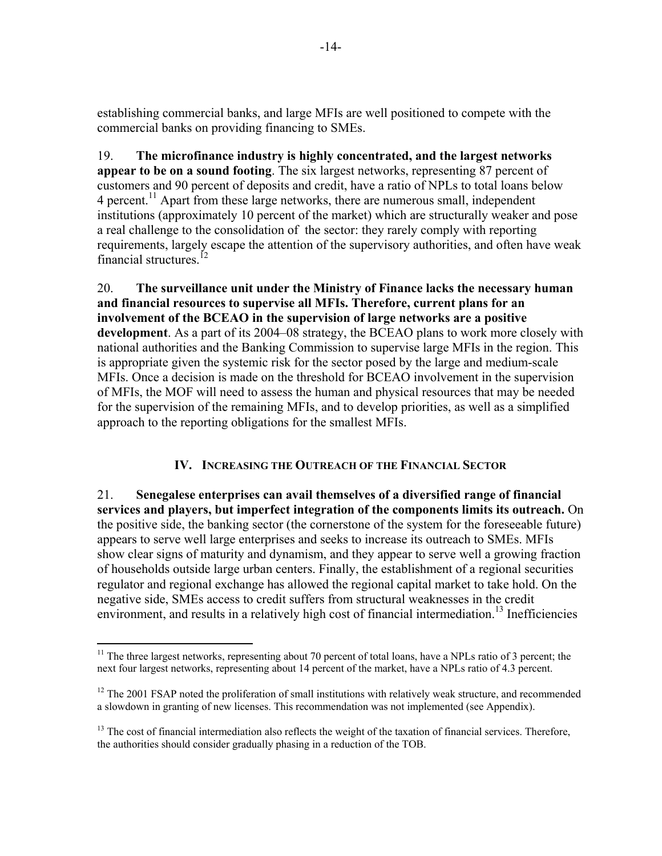establishing commercial banks, and large MFIs are well positioned to compete with the commercial banks on providing financing to SMEs.

19. **The microfinance industry is highly concentrated, and the largest networks appear to be on a sound footing**. The six largest networks, representing 87 percent of customers and 90 percent of deposits and credit, have a ratio of NPLs to total loans below 4 percent.11 Apart from these large networks, there are numerous small, independent institutions (approximately 10 percent of the market) which are structurally weaker and pose a real challenge to the consolidation of the sector: they rarely comply with reporting requirements, largely escape the attention of the supervisory authorities, and often have weak financial structures  $12$ 

20. **The surveillance unit under the Ministry of Finance lacks the necessary human and financial resources to supervise all MFIs. Therefore, current plans for an involvement of the BCEAO in the supervision of large networks are a positive development**. As a part of its 2004–08 strategy, the BCEAO plans to work more closely with national authorities and the Banking Commission to supervise large MFIs in the region. This is appropriate given the systemic risk for the sector posed by the large and medium-scale MFIs. Once a decision is made on the threshold for BCEAO involvement in the supervision of MFIs, the MOF will need to assess the human and physical resources that may be needed for the supervision of the remaining MFIs, and to develop priorities, as well as a simplified approach to the reporting obligations for the smallest MFIs.

# **IV. INCREASING THE OUTREACH OF THE FINANCIAL SECTOR**

21. **Senegalese enterprises can avail themselves of a diversified range of financial services and players, but imperfect integration of the components limits its outreach.** On the positive side, the banking sector (the cornerstone of the system for the foreseeable future) appears to serve well large enterprises and seeks to increase its outreach to SMEs. MFIs show clear signs of maturity and dynamism, and they appear to serve well a growing fraction of households outside large urban centers. Finally, the establishment of a regional securities regulator and regional exchange has allowed the regional capital market to take hold. On the negative side, SMEs access to credit suffers from structural weaknesses in the credit environment, and results in a relatively high cost of financial intermediation.<sup>13</sup> Inefficiencies

<u>.</u>

 $11$  The three largest networks, representing about 70 percent of total loans, have a NPLs ratio of 3 percent; the next four largest networks, representing about 14 percent of the market, have a NPLs ratio of 4.3 percent.

 $12$  The 2001 FSAP noted the proliferation of small institutions with relatively weak structure, and recommended a slowdown in granting of new licenses. This recommendation was not implemented (see Appendix).

 $13$  The cost of financial intermediation also reflects the weight of the taxation of financial services. Therefore, the authorities should consider gradually phasing in a reduction of the TOB.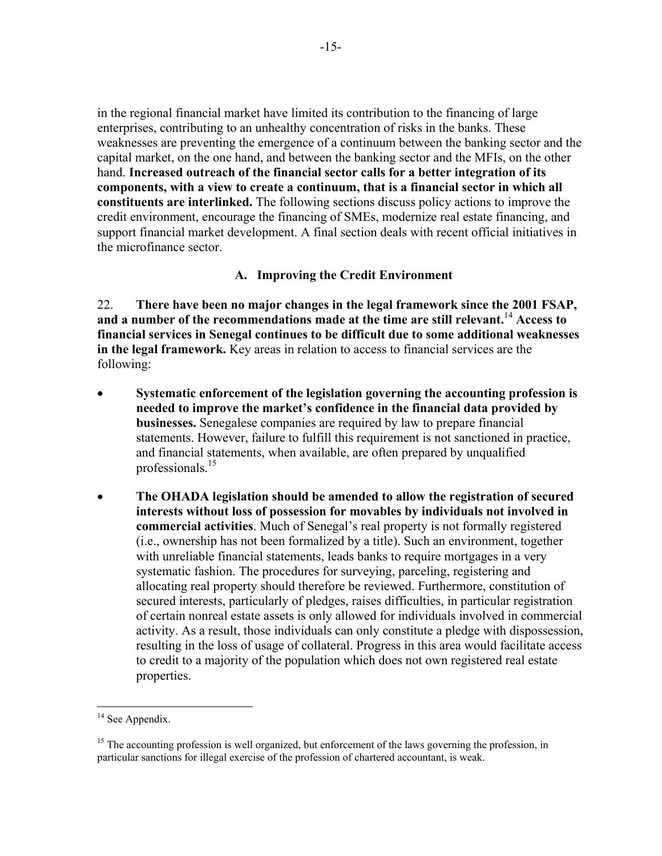in the regional financial market have limited its contribution to the financing of large enterprises, contributing to an unhealthy concentration of risks in the banks. These weaknesses are preventing the emergence of a continuum between the banking sector and the capital market, on the one hand, and between the banking sector and the MFIs, on the other hand. **Increased outreach of the financial sector calls for a better integration of its components, with a view to create a continuum, that is a financial sector in which all constituents are interlinked.** The following sections discuss policy actions to improve the credit environment, encourage the financing of SMEs, modernize real estate financing, and support financial market development. A final section deals with recent official initiatives in the microfinance sector.

# **A. Improving the Credit Environment**

22. **There have been no major changes in the legal framework since the 2001 FSAP, and a number of the recommendations made at the time are still relevant.**<sup>14</sup> **Access to financial services in Senegal continues to be difficult due to some additional weaknesses in the legal framework.** Key areas in relation to access to financial services are the following:

- **Systematic enforcement of the legislation governing the accounting profession is needed to improve the market's confidence in the financial data provided by businesses.** Senegalese companies are required by law to prepare financial statements. However, failure to fulfill this requirement is not sanctioned in practice, and financial statements, when available, are often prepared by unqualified professionals.<sup>15</sup>
- **The OHADA legislation should be amended to allow the registration of secured interests without loss of possession for movables by individuals not involved in commercial activities**. Much of Senegal's real property is not formally registered (i.e., ownership has not been formalized by a title). Such an environment, together with unreliable financial statements, leads banks to require mortgages in a very systematic fashion. The procedures for surveying, parceling, registering and allocating real property should therefore be reviewed. Furthermore, constitution of secured interests, particularly of pledges, raises difficulties, in particular registration of certain nonreal estate assets is only allowed for individuals involved in commercial activity. As a result, those individuals can only constitute a pledge with dispossession, resulting in the loss of usage of collateral. Progress in this area would facilitate access to credit to a majority of the population which does not own registered real estate properties.

 $\overline{a}$ 

 $14$  See Appendix.

<sup>&</sup>lt;sup>15</sup> The accounting profession is well organized, but enforcement of the laws governing the profession, in particular sanctions for illegal exercise of the profession of chartered accountant, is weak.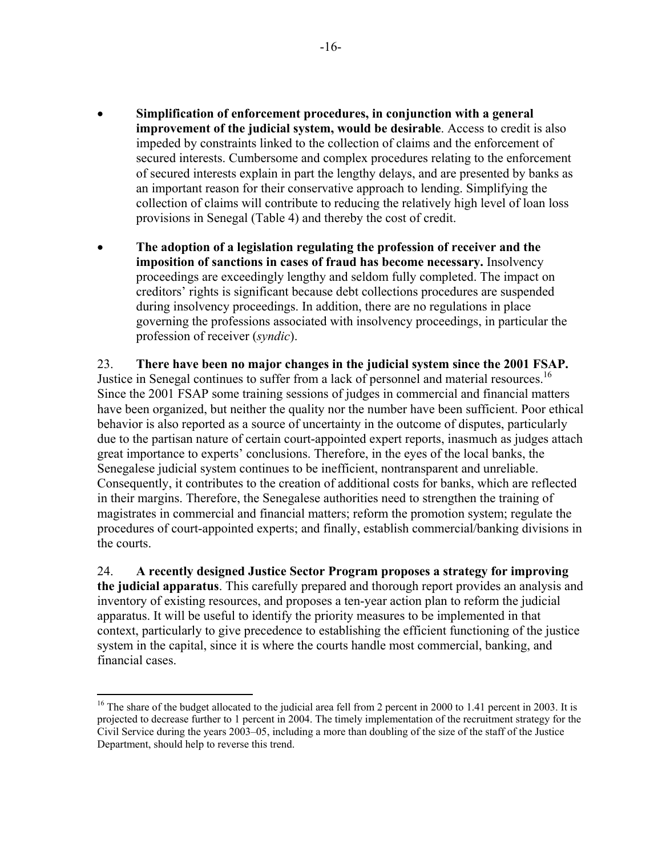- **Simplification of enforcement procedures, in conjunction with a general improvement of the judicial system, would be desirable**. Access to credit is also impeded by constraints linked to the collection of claims and the enforcement of secured interests. Cumbersome and complex procedures relating to the enforcement of secured interests explain in part the lengthy delays, and are presented by banks as an important reason for their conservative approach to lending. Simplifying the collection of claims will contribute to reducing the relatively high level of loan loss provisions in Senegal (Table 4) and thereby the cost of credit.
- **The adoption of a legislation regulating the profession of receiver and the imposition of sanctions in cases of fraud has become necessary.** Insolvency proceedings are exceedingly lengthy and seldom fully completed. The impact on creditors' rights is significant because debt collections procedures are suspended during insolvency proceedings. In addition, there are no regulations in place governing the professions associated with insolvency proceedings, in particular the profession of receiver (*syndic*).

23. **There have been no major changes in the judicial system since the 2001 FSAP.** Justice in Senegal continues to suffer from a lack of personnel and material resources.<sup>16</sup> Since the 2001 FSAP some training sessions of judges in commercial and financial matters have been organized, but neither the quality nor the number have been sufficient. Poor ethical behavior is also reported as a source of uncertainty in the outcome of disputes, particularly due to the partisan nature of certain court-appointed expert reports, inasmuch as judges attach great importance to experts' conclusions. Therefore, in the eyes of the local banks, the Senegalese judicial system continues to be inefficient, nontransparent and unreliable. Consequently, it contributes to the creation of additional costs for banks, which are reflected in their margins. Therefore, the Senegalese authorities need to strengthen the training of magistrates in commercial and financial matters; reform the promotion system; regulate the procedures of court-appointed experts; and finally, establish commercial/banking divisions in the courts.

24. **A recently designed Justice Sector Program proposes a strategy for improving the judicial apparatus**. This carefully prepared and thorough report provides an analysis and inventory of existing resources, and proposes a ten-year action plan to reform the judicial apparatus. It will be useful to identify the priority measures to be implemented in that context, particularly to give precedence to establishing the efficient functioning of the justice system in the capital, since it is where the courts handle most commercial, banking, and financial cases.

<sup>1</sup> <sup>16</sup> The share of the budget allocated to the judicial area fell from 2 percent in 2000 to 1.41 percent in 2003. It is projected to decrease further to 1 percent in 2004. The timely implementation of the recruitment strategy for the Civil Service during the years 2003–05, including a more than doubling of the size of the staff of the Justice Department, should help to reverse this trend.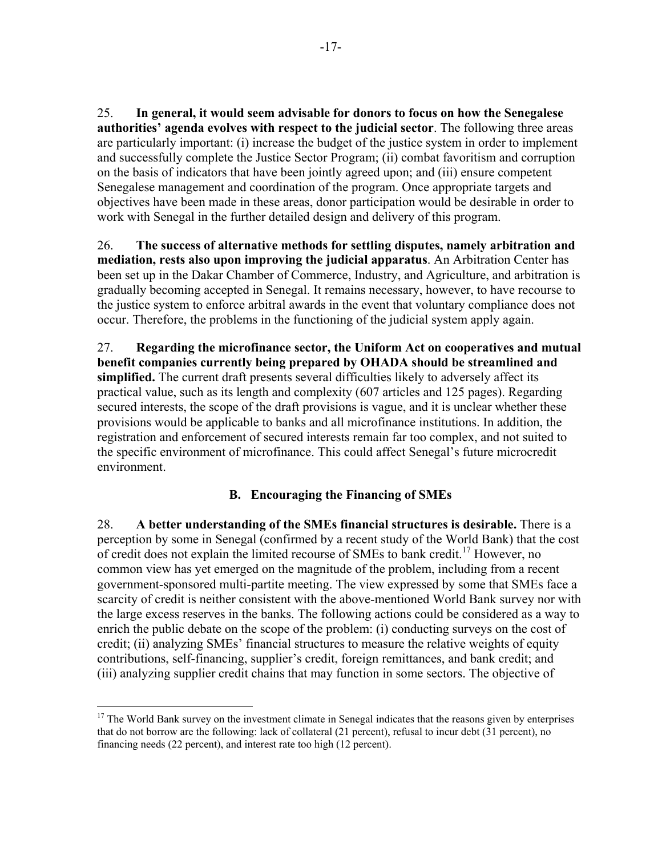25. **In general, it would seem advisable for donors to focus on how the Senegalese authorities' agenda evolves with respect to the judicial sector**. The following three areas are particularly important: (i) increase the budget of the justice system in order to implement and successfully complete the Justice Sector Program; (ii) combat favoritism and corruption on the basis of indicators that have been jointly agreed upon; and (iii) ensure competent Senegalese management and coordination of the program. Once appropriate targets and objectives have been made in these areas, donor participation would be desirable in order to work with Senegal in the further detailed design and delivery of this program.

26. **The success of alternative methods for settling disputes, namely arbitration and mediation, rests also upon improving the judicial apparatus**. An Arbitration Center has been set up in the Dakar Chamber of Commerce, Industry, and Agriculture, and arbitration is gradually becoming accepted in Senegal. It remains necessary, however, to have recourse to the justice system to enforce arbitral awards in the event that voluntary compliance does not occur. Therefore, the problems in the functioning of the judicial system apply again.

27. **Regarding the microfinance sector, the Uniform Act on cooperatives and mutual benefit companies currently being prepared by OHADA should be streamlined and simplified.** The current draft presents several difficulties likely to adversely affect its practical value, such as its length and complexity (607 articles and 125 pages). Regarding secured interests, the scope of the draft provisions is vague, and it is unclear whether these provisions would be applicable to banks and all microfinance institutions. In addition, the registration and enforcement of secured interests remain far too complex, and not suited to the specific environment of microfinance. This could affect Senegal's future microcredit environment.

# **B. Encouraging the Financing of SMEs**

28. **A better understanding of the SMEs financial structures is desirable.** There is a perception by some in Senegal (confirmed by a recent study of the World Bank) that the cost of credit does not explain the limited recourse of SMEs to bank credit.<sup>17</sup> However, no common view has yet emerged on the magnitude of the problem, including from a recent government-sponsored multi-partite meeting. The view expressed by some that SMEs face a scarcity of credit is neither consistent with the above-mentioned World Bank survey nor with the large excess reserves in the banks. The following actions could be considered as a way to enrich the public debate on the scope of the problem: (i) conducting surveys on the cost of credit; (ii) analyzing SMEs' financial structures to measure the relative weights of equity contributions, self-financing, supplier's credit, foreign remittances, and bank credit; and (iii) analyzing supplier credit chains that may function in some sectors. The objective of

 $\overline{a}$ 

<sup>&</sup>lt;sup>17</sup> The World Bank survey on the investment climate in Senegal indicates that the reasons given by enterprises that do not borrow are the following: lack of collateral (21 percent), refusal to incur debt (31 percent), no financing needs (22 percent), and interest rate too high (12 percent).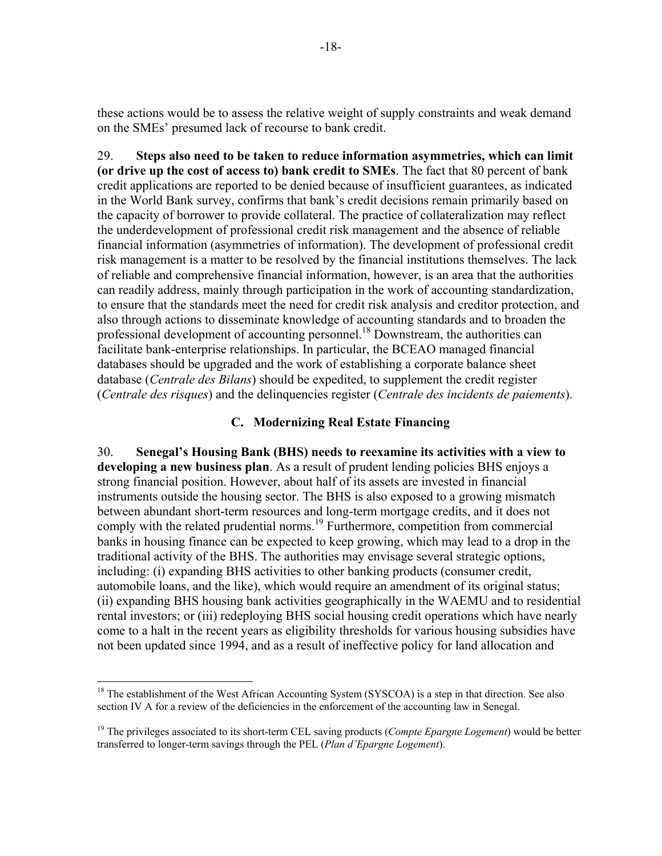these actions would be to assess the relative weight of supply constraints and weak demand on the SMEs' presumed lack of recourse to bank credit.

29. **Steps also need to be taken to reduce information asymmetries, which can limit (or drive up the cost of access to) bank credit to SMEs**. The fact that 80 percent of bank credit applications are reported to be denied because of insufficient guarantees, as indicated in the World Bank survey, confirms that bank's credit decisions remain primarily based on the capacity of borrower to provide collateral. The practice of collateralization may reflect the underdevelopment of professional credit risk management and the absence of reliable financial information (asymmetries of information). The development of professional credit risk management is a matter to be resolved by the financial institutions themselves. The lack of reliable and comprehensive financial information, however, is an area that the authorities can readily address, mainly through participation in the work of accounting standardization, to ensure that the standards meet the need for credit risk analysis and creditor protection, and also through actions to disseminate knowledge of accounting standards and to broaden the professional development of accounting personnel.<sup>18</sup> Downstream, the authorities can facilitate bank-enterprise relationships. In particular, the BCEAO managed financial databases should be upgraded and the work of establishing a corporate balance sheet database (*Centrale des Bilans*) should be expedited, to supplement the credit register (*Centrale des risques*) and the delinquencies register (*Centrale des incidents de paiements*).

## **C. Modernizing Real Estate Financing**

30. **Senegal's Housing Bank (BHS) needs to reexamine its activities with a view to developing a new business plan**. As a result of prudent lending policies BHS enjoys a strong financial position. However, about half of its assets are invested in financial instruments outside the housing sector. The BHS is also exposed to a growing mismatch between abundant short-term resources and long-term mortgage credits, and it does not comply with the related prudential norms.<sup>19</sup> Furthermore, competition from commercial banks in housing finance can be expected to keep growing, which may lead to a drop in the traditional activity of the BHS. The authorities may envisage several strategic options, including: (i) expanding BHS activities to other banking products (consumer credit, automobile loans, and the like), which would require an amendment of its original status; (ii) expanding BHS housing bank activities geographically in the WAEMU and to residential rental investors; or (iii) redeploying BHS social housing credit operations which have nearly come to a halt in the recent years as eligibility thresholds for various housing subsidies have not been updated since 1994, and as a result of ineffective policy for land allocation and

1

<sup>&</sup>lt;sup>18</sup> The establishment of the West African Accounting System (SYSCOA) is a step in that direction. See also section IV A for a review of the deficiencies in the enforcement of the accounting law in Senegal.

<sup>&</sup>lt;sup>19</sup> The privileges associated to its short-term CEL saving products (*Compte Epargne Logement*) would be better transferred to longer-term savings through the PEL (*Plan d'Epargne Logement*).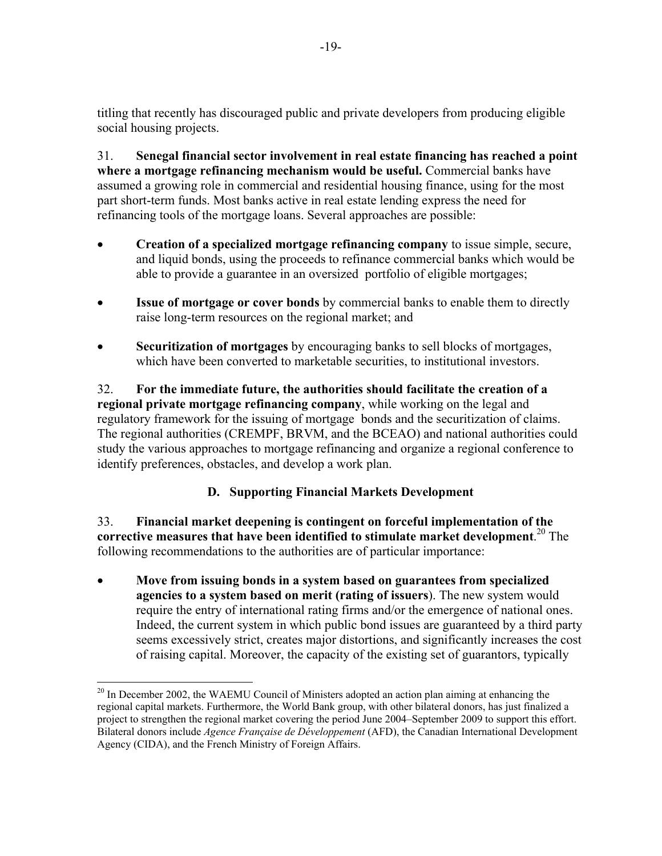titling that recently has discouraged public and private developers from producing eligible social housing projects.

31. **Senegal financial sector involvement in real estate financing has reached a point where a mortgage refinancing mechanism would be useful.** Commercial banks have assumed a growing role in commercial and residential housing finance, using for the most part short-term funds. Most banks active in real estate lending express the need for refinancing tools of the mortgage loans. Several approaches are possible:

- **Creation of a specialized mortgage refinancing company** to issue simple, secure, and liquid bonds, using the proceeds to refinance commercial banks which would be able to provide a guarantee in an oversized portfolio of eligible mortgages;
- **Issue of mortgage or cover bonds** by commercial banks to enable them to directly raise long-term resources on the regional market; and
- **Securitization of mortgages** by encouraging banks to sell blocks of mortgages, which have been converted to marketable securities, to institutional investors.

32. **For the immediate future, the authorities should facilitate the creation of a regional private mortgage refinancing company**, while working on the legal and regulatory framework for the issuing of mortgage bonds and the securitization of claims. The regional authorities (CREMPF, BRVM, and the BCEAO) and national authorities could study the various approaches to mortgage refinancing and organize a regional conference to identify preferences, obstacles, and develop a work plan.

# **D. Supporting Financial Markets Development**

33. **Financial market deepening is contingent on forceful implementation of the corrective measures that have been identified to stimulate market development**. 20 The following recommendations to the authorities are of particular importance:

• **Move from issuing bonds in a system based on guarantees from specialized agencies to a system based on merit (rating of issuers**). The new system would require the entry of international rating firms and/or the emergence of national ones. Indeed, the current system in which public bond issues are guaranteed by a third party seems excessively strict, creates major distortions, and significantly increases the cost of raising capital. Moreover, the capacity of the existing set of guarantors, typically

 $\overline{a}$ 

 $^{20}$  In December 2002, the WAEMU Council of Ministers adopted an action plan aiming at enhancing the regional capital markets. Furthermore, the World Bank group, with other bilateral donors, has just finalized a project to strengthen the regional market covering the period June 2004–September 2009 to support this effort. Bilateral donors include *Agence Française de Développement* (AFD), the Canadian International Development Agency (CIDA), and the French Ministry of Foreign Affairs.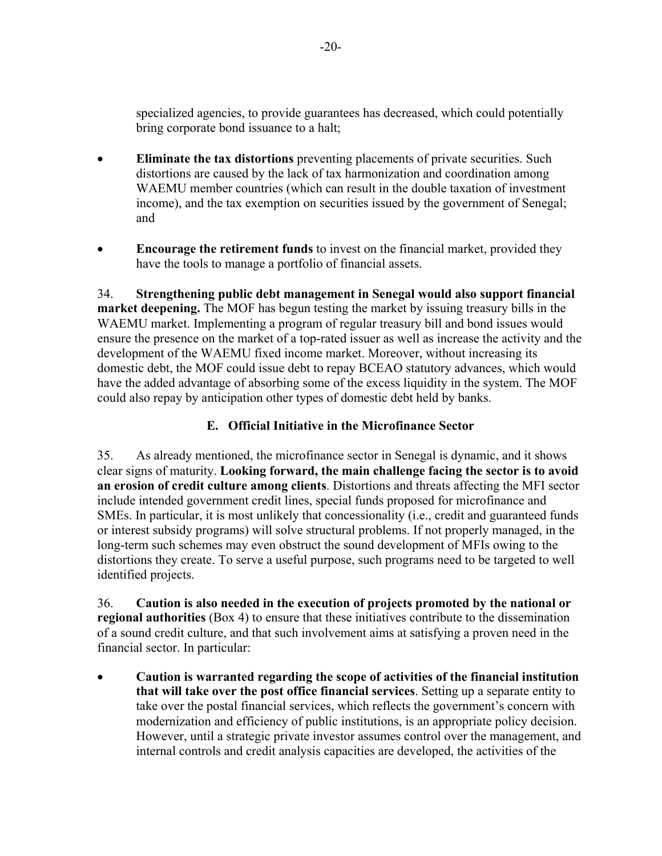specialized agencies, to provide guarantees has decreased, which could potentially bring corporate bond issuance to a halt;

- **Eliminate the tax distortions** preventing placements of private securities. Such distortions are caused by the lack of tax harmonization and coordination among WAEMU member countries (which can result in the double taxation of investment income), and the tax exemption on securities issued by the government of Senegal; and
- **Encourage the retirement funds** to invest on the financial market, provided they have the tools to manage a portfolio of financial assets.

34. **Strengthening public debt management in Senegal would also support financial market deepening.** The MOF has begun testing the market by issuing treasury bills in the WAEMU market. Implementing a program of regular treasury bill and bond issues would ensure the presence on the market of a top-rated issuer as well as increase the activity and the development of the WAEMU fixed income market. Moreover, without increasing its domestic debt, the MOF could issue debt to repay BCEAO statutory advances, which would have the added advantage of absorbing some of the excess liquidity in the system. The MOF could also repay by anticipation other types of domestic debt held by banks.

# **E. Official Initiative in the Microfinance Sector**

35. As already mentioned, the microfinance sector in Senegal is dynamic, and it shows clear signs of maturity. **Looking forward, the main challenge facing the sector is to avoid an erosion of credit culture among clients**. Distortions and threats affecting the MFI sector include intended government credit lines, special funds proposed for microfinance and SMEs. In particular, it is most unlikely that concessionality (i.e., credit and guaranteed funds or interest subsidy programs) will solve structural problems. If not properly managed, in the long-term such schemes may even obstruct the sound development of MFIs owing to the distortions they create. To serve a useful purpose, such programs need to be targeted to well identified projects.

36. **Caution is also needed in the execution of projects promoted by the national or regional authorities** (Box 4) to ensure that these initiatives contribute to the dissemination of a sound credit culture, and that such involvement aims at satisfying a proven need in the financial sector. In particular:

• **Caution is warranted regarding the scope of activities of the financial institution that will take over the post office financial services**. Setting up a separate entity to take over the postal financial services, which reflects the government's concern with modernization and efficiency of public institutions, is an appropriate policy decision. However, until a strategic private investor assumes control over the management, and internal controls and credit analysis capacities are developed, the activities of the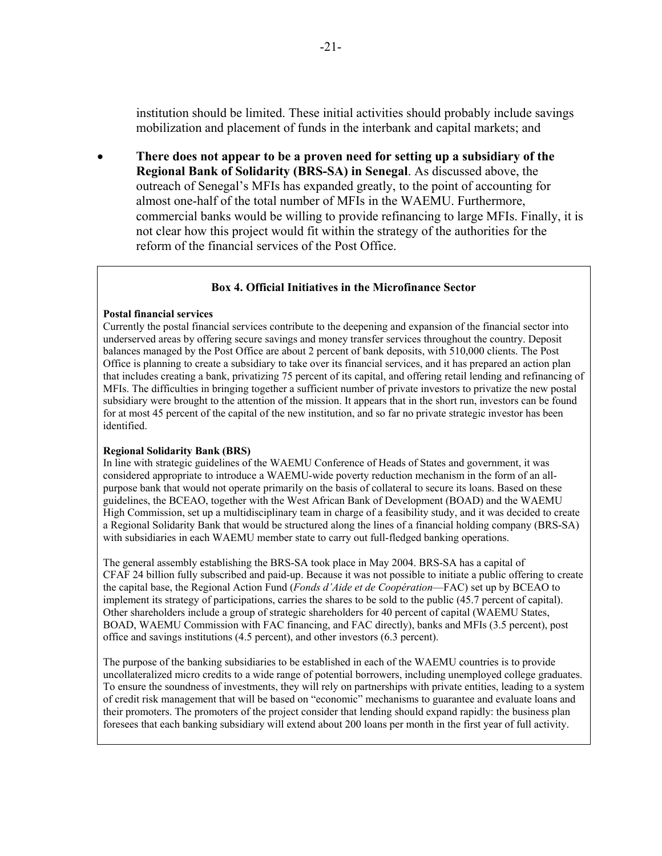institution should be limited. These initial activities should probably include savings mobilization and placement of funds in the interbank and capital markets; and

• **There does not appear to be a proven need for setting up a subsidiary of the Regional Bank of Solidarity (BRS-SA) in Senegal**. As discussed above, the outreach of Senegal's MFIs has expanded greatly, to the point of accounting for almost one-half of the total number of MFIs in the WAEMU. Furthermore, commercial banks would be willing to provide refinancing to large MFIs. Finally, it is not clear how this project would fit within the strategy of the authorities for the reform of the financial services of the Post Office.

#### **Box 4. Official Initiatives in the Microfinance Sector**

#### **Postal financial services**

Currently the postal financial services contribute to the deepening and expansion of the financial sector into underserved areas by offering secure savings and money transfer services throughout the country. Deposit balances managed by the Post Office are about 2 percent of bank deposits, with 510,000 clients. The Post Office is planning to create a subsidiary to take over its financial services, and it has prepared an action plan that includes creating a bank, privatizing 75 percent of its capital, and offering retail lending and refinancing of MFIs. The difficulties in bringing together a sufficient number of private investors to privatize the new postal subsidiary were brought to the attention of the mission. It appears that in the short run, investors can be found for at most 45 percent of the capital of the new institution, and so far no private strategic investor has been identified.

#### **Regional Solidarity Bank (BRS)**

In line with strategic guidelines of the WAEMU Conference of Heads of States and government, it was considered appropriate to introduce a WAEMU-wide poverty reduction mechanism in the form of an allpurpose bank that would not operate primarily on the basis of collateral to secure its loans. Based on these guidelines, the BCEAO, together with the West African Bank of Development (BOAD) and the WAEMU High Commission, set up a multidisciplinary team in charge of a feasibility study, and it was decided to create a Regional Solidarity Bank that would be structured along the lines of a financial holding company (BRS-SA) with subsidiaries in each WAEMU member state to carry out full-fledged banking operations.

The general assembly establishing the BRS-SA took place in May 2004. BRS-SA has a capital of CFAF 24 billion fully subscribed and paid-up. Because it was not possible to initiate a public offering to create the capital base, the Regional Action Fund (*Fonds d'Aide et de Coopération*—FAC) set up by BCEAO to implement its strategy of participations, carries the shares to be sold to the public (45.7 percent of capital). Other shareholders include a group of strategic shareholders for 40 percent of capital (WAEMU States, BOAD, WAEMU Commission with FAC financing, and FAC directly), banks and MFIs (3.5 percent), post office and savings institutions (4.5 percent), and other investors (6.3 percent).

The purpose of the banking subsidiaries to be established in each of the WAEMU countries is to provide uncollateralized micro credits to a wide range of potential borrowers, including unemployed college graduates. To ensure the soundness of investments, they will rely on partnerships with private entities, leading to a system of credit risk management that will be based on "economic" mechanisms to guarantee and evaluate loans and their promoters. The promoters of the project consider that lending should expand rapidly: the business plan foresees that each banking subsidiary will extend about 200 loans per month in the first year of full activity.